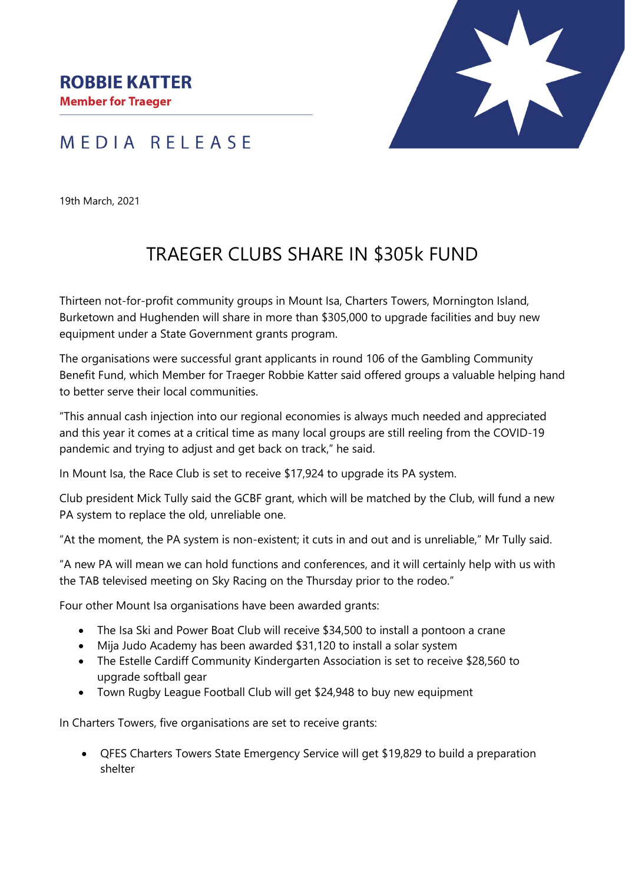



19th March, 2021

## TRAEGER CLUBS SHARE IN \$305k FUND

Thirteen not-for-profit community groups in Mount Isa, Charters Towers, Mornington Island, Burketown and Hughenden will share in more than \$305,000 to upgrade facilities and buy new equipment under a State Government grants program.

The organisations were successful grant applicants in round 106 of the Gambling Community Benefit Fund, which Member for Traeger Robbie Katter said offered groups a valuable helping hand to better serve their local communities.

"This annual cash injection into our regional economies is always much needed and appreciated and this year it comes at a critical time as many local groups are still reeling from the COVID-19 pandemic and trying to adjust and get back on track," he said.

In Mount Isa, the Race Club is set to receive \$17,924 to upgrade its PA system.

Club president Mick Tully said the GCBF grant, which will be matched by the Club, will fund a new PA system to replace the old, unreliable one.

"At the moment, the PA system is non-existent; it cuts in and out and is unreliable," Mr Tully said.

"A new PA will mean we can hold functions and conferences, and it will certainly help with us with the TAB televised meeting on Sky Racing on the Thursday prior to the rodeo."

Four other Mount Isa organisations have been awarded grants:

- The Isa Ski and Power Boat Club will receive \$34,500 to install a pontoon a crane
- Mija Judo Academy has been awarded \$31,120 to install a solar system
- The Estelle Cardiff Community Kindergarten Association is set to receive \$28,560 to upgrade softball gear
- Town Rugby League Football Club will get \$24,948 to buy new equipment

In Charters Towers, five organisations are set to receive grants:

• QFES Charters Towers State Emergency Service will get \$19,829 to build a preparation shelter